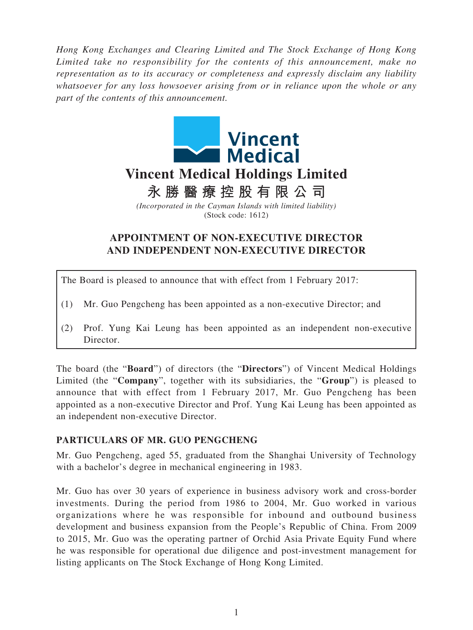*Hong Kong Exchanges and Clearing Limited and The Stock Exchange of Hong Kong Limited take no responsibility for the contents of this announcement, make no representation as to its accuracy or completeness and expressly disclaim any liability whatsoever for any loss howsoever arising from or in reliance upon the whole or any part of the contents of this announcement.*



(Stock code: 1612)

## **APPOINTMENT OF NON-EXECUTIVE DIRECTOR AND INDEPENDENT NON-EXECUTIVE DIRECTOR**

The Board is pleased to announce that with effect from 1 February 2017:

- (1) Mr. Guo Pengcheng has been appointed as a non-executive Director; and
- (2) Prof. Yung Kai Leung has been appointed as an independent non-executive Director.

The board (the "**Board**") of directors (the "**Directors**") of Vincent Medical Holdings Limited (the "**Company**", together with its subsidiaries, the "**Group**") is pleased to announce that with effect from 1 February 2017, Mr. Guo Pengcheng has been appointed as a non-executive Director and Prof. Yung Kai Leung has been appointed as an independent non-executive Director.

## **PARTICULARS OF MR. GUO PENGCHENG**

Mr. Guo Pengcheng, aged 55, graduated from the Shanghai University of Technology with a bachelor's degree in mechanical engineering in 1983.

Mr. Guo has over 30 years of experience in business advisory work and cross-border investments. During the period from 1986 to 2004, Mr. Guo worked in various organizations where he was responsible for inbound and outbound business development and business expansion from the People's Republic of China. From 2009 to 2015, Mr. Guo was the operating partner of Orchid Asia Private Equity Fund where he was responsible for operational due diligence and post-investment management for listing applicants on The Stock Exchange of Hong Kong Limited.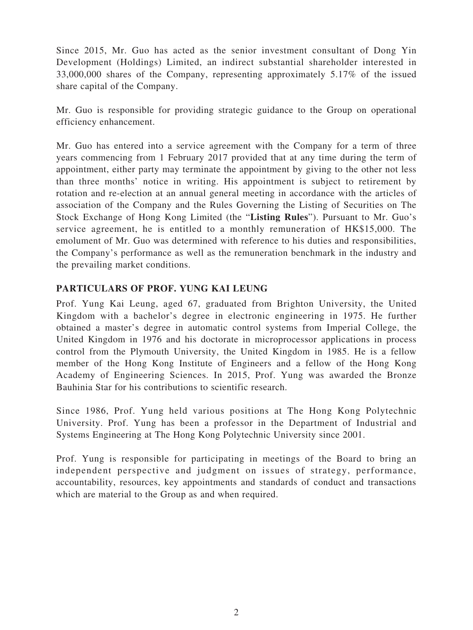Since 2015, Mr. Guo has acted as the senior investment consultant of Dong Yin Development (Holdings) Limited, an indirect substantial shareholder interested in 33,000,000 shares of the Company, representing approximately 5.17% of the issued share capital of the Company.

Mr. Guo is responsible for providing strategic guidance to the Group on operational efficiency enhancement.

Mr. Guo has entered into a service agreement with the Company for a term of three years commencing from 1 February 2017 provided that at any time during the term of appointment, either party may terminate the appointment by giving to the other not less than three months' notice in writing. His appointment is subject to retirement by rotation and re-election at an annual general meeting in accordance with the articles of association of the Company and the Rules Governing the Listing of Securities on The Stock Exchange of Hong Kong Limited (the "**Listing Rules**"). Pursuant to Mr. Guo's service agreement, he is entitled to a monthly remuneration of HK\$15,000. The emolument of Mr. Guo was determined with reference to his duties and responsibilities, the Company's performance as well as the remuneration benchmark in the industry and the prevailing market conditions.

## **PARTICULARS OF PROF. YUNG KAI LEUNG**

Prof. Yung Kai Leung, aged 67, graduated from Brighton University, the United Kingdom with a bachelor's degree in electronic engineering in 1975. He further obtained a master's degree in automatic control systems from Imperial College, the United Kingdom in 1976 and his doctorate in microprocessor applications in process control from the Plymouth University, the United Kingdom in 1985. He is a fellow member of the Hong Kong Institute of Engineers and a fellow of the Hong Kong Academy of Engineering Sciences. In 2015, Prof. Yung was awarded the Bronze Bauhinia Star for his contributions to scientific research.

Since 1986, Prof. Yung held various positions at The Hong Kong Polytechnic University. Prof. Yung has been a professor in the Department of Industrial and Systems Engineering at The Hong Kong Polytechnic University since 2001.

Prof. Yung is responsible for participating in meetings of the Board to bring an independent perspective and judgment on issues of strategy, performance, accountability, resources, key appointments and standards of conduct and transactions which are material to the Group as and when required.